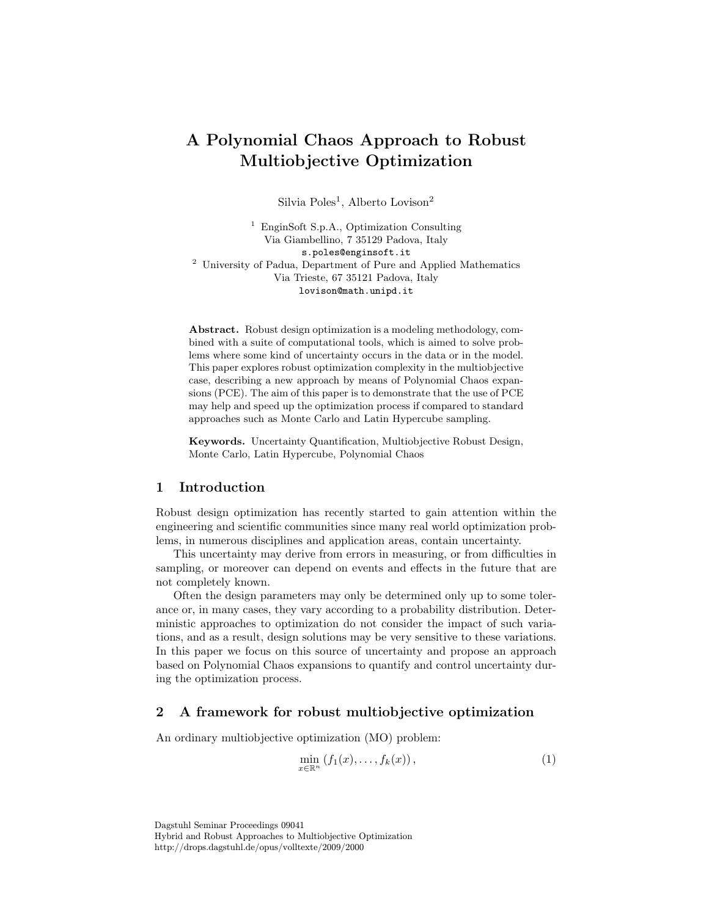# A Polynomial Chaos Approach to Robust Multiobjective Optimization

Silvia Poles<sup>1</sup>, Alberto Lovison<sup>2</sup>

<sup>1</sup> EnginSoft S.p.A., Optimization Consulting Via Giambellino, 7 35129 Padova, Italy s.poles@enginsoft.it <sup>2</sup> University of Padua, Department of Pure and Applied Mathematics Via Trieste, 67 35121 Padova, Italy lovison@math.unipd.it

Abstract. Robust design optimization is a modeling methodology, combined with a suite of computational tools, which is aimed to solve problems where some kind of uncertainty occurs in the data or in the model. This paper explores robust optimization complexity in the multiobjective case, describing a new approach by means of Polynomial Chaos expansions (PCE). The aim of this paper is to demonstrate that the use of PCE may help and speed up the optimization process if compared to standard approaches such as Monte Carlo and Latin Hypercube sampling.

Keywords. Uncertainty Quantification, Multiobjective Robust Design, Monte Carlo, Latin Hypercube, Polynomial Chaos

## 1 Introduction

Robust design optimization has recently started to gain attention within the engineering and scientific communities since many real world optimization problems, in numerous disciplines and application areas, contain uncertainty.

This uncertainty may derive from errors in measuring, or from difficulties in sampling, or moreover can depend on events and effects in the future that are not completely known.

Often the design parameters may only be determined only up to some tolerance or, in many cases, they vary according to a probability distribution. Deterministic approaches to optimization do not consider the impact of such variations, and as a result, design solutions may be very sensitive to these variations. In this paper we focus on this source of uncertainty and propose an approach based on Polynomial Chaos expansions to quantify and control uncertainty during the optimization process.

# 2 A framework for robust multiobjective optimization

An ordinary multiobjective optimization (MO) problem:

<span id="page-0-0"></span>
$$
\min_{x \in \mathbb{R}^n} \left( f_1(x), \dots, f_k(x) \right),\tag{1}
$$

Dagstuhl Seminar Proceedings 09041 Hybrid and Robust Approaches to Multiobjective Optimization http://drops.dagstuhl.de/opus/volltexte/2009/2000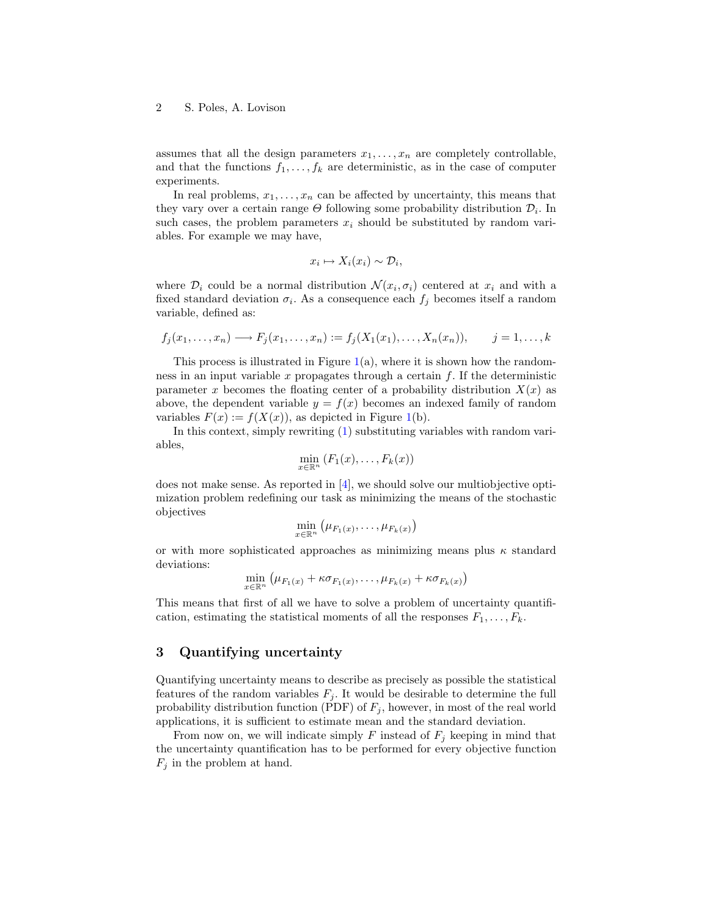assumes that all the design parameters  $x_1, \ldots, x_n$  are completely controllable, and that the functions  $f_1, \ldots, f_k$  are deterministic, as in the case of computer experiments.

In real problems,  $x_1, \ldots, x_n$  can be affected by uncertainty, this means that they vary over a certain range  $\Theta$  following some probability distribution  $\mathcal{D}_i$ . In such cases, the problem parameters  $x_i$  should be substituted by random variables. For example we may have,

$$
x_i \mapsto X_i(x_i) \sim \mathcal{D}_i,
$$

where  $\mathcal{D}_i$  could be a normal distribution  $\mathcal{N}(x_i, \sigma_i)$  centered at  $x_i$  and with a fixed standard deviation  $\sigma_i$ . As a consequence each  $f_j$  becomes itself a random variable, defined as:

$$
f_j(x_1,\ldots,x_n)\longrightarrow F_j(x_1,\ldots,x_n):=f_j(X_1(x_1),\ldots,X_n(x_n)),\qquad j=1,\ldots,k
$$

This process is illustrated in Figure  $1(a)$  $1(a)$ , where it is shown how the randomness in an input variable  $x$  propagates through a certain  $f$ . If the deterministic parameter x becomes the floating center of a probability distribution  $X(x)$  as above, the dependent variable  $y = f(x)$  becomes an indexed family of random variables  $F(x) := f(X(x))$ , as depicted in Figure [1\(](#page-2-0)b).

In this context, simply rewriting [\(1\)](#page-0-0) substituting variables with random variables,

$$
\min_{x \in \mathbb{R}^n} (F_1(x), \ldots, F_k(x))
$$

does not make sense. As reported in  $[4]$ , we should solve our multiobjective optimization problem redefining our task as minimizing the means of the stochastic objectives

$$
\min_{x \in \mathbb{R}^n} (\mu_{F_1(x)}, \ldots, \mu_{F_k(x)})
$$

or with more sophisticated approaches as minimizing means plus  $\kappa$  standard deviations:

$$
\min_{x \in \mathbb{R}^n} (\mu_{F_1(x)} + \kappa \sigma_{F_1(x)}, \ldots, \mu_{F_k(x)} + \kappa \sigma_{F_k(x)})
$$

This means that first of all we have to solve a problem of uncertainty quantification, estimating the statistical moments of all the responses  $F_1, \ldots, F_k$ .

## 3 Quantifying uncertainty

Quantifying uncertainty means to describe as precisely as possible the statistical features of the random variables  $F_j$ . It would be desirable to determine the full probability distribution function (PDF) of  $F_j$ , however, in most of the real world applications, it is sufficient to estimate mean and the standard deviation.

From now on, we will indicate simply F instead of  $F_j$  keeping in mind that the uncertainty quantification has to be performed for every objective function  $F_j$  in the problem at hand.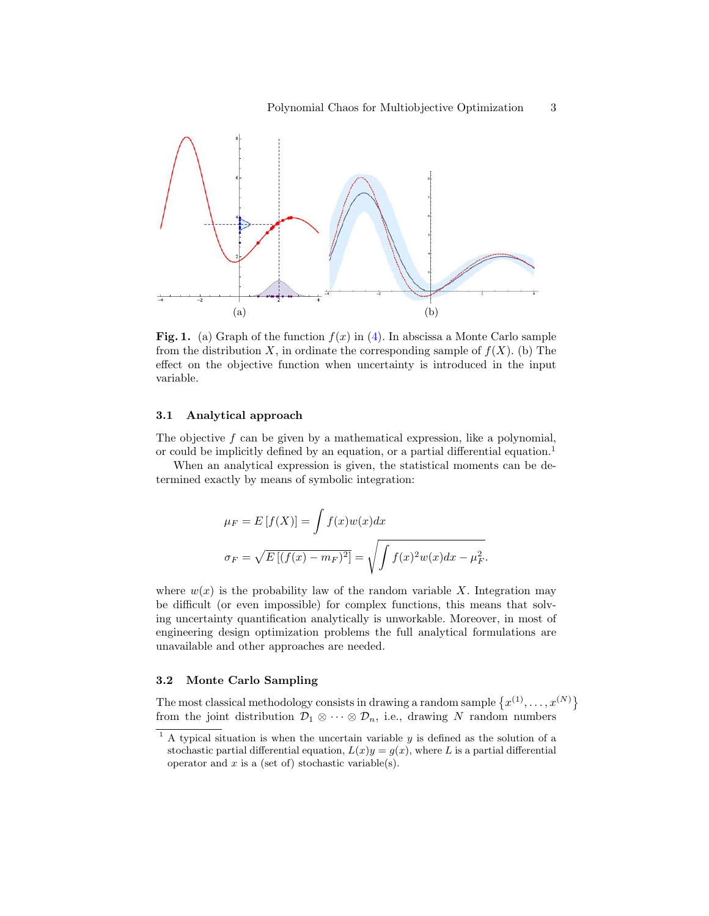

<span id="page-2-0"></span>**Fig. 1.** (a) Graph of the function  $f(x)$  in [\(4\)](#page-3-0). In abscissa a Monte Carlo sample from the distribution X, in ordinate the corresponding sample of  $f(X)$ . (b) The effect on the objective function when uncertainty is introduced in the input variable.

#### 3.1 Analytical approach

The objective  $f$  can be given by a mathematical expression, like a polynomial, or could be implicitly defined by an equation, or a partial differential equation.<sup>[1](#page-2-1)</sup>

When an analytical expression is given, the statistical moments can be determined exactly by means of symbolic integration:

$$
\mu_F = E[f(X)] = \int f(x)w(x)dx
$$

$$
\sigma_F = \sqrt{E[(f(x) - m_F)^2]} = \sqrt{\int f(x)^2 w(x)dx - \mu_F^2}.
$$

where  $w(x)$  is the probability law of the random variable X. Integration may be difficult (or even impossible) for complex functions, this means that solving uncertainty quantification analytically is unworkable. Moreover, in most of engineering design optimization problems the full analytical formulations are unavailable and other approaches are needed.

#### 3.2 Monte Carlo Sampling

The most classical methodology consists in drawing a random sample  $\{x^{(1)}, \ldots, x^{(N)}\}$ from the joint distribution  $\mathcal{D}_1 \otimes \cdots \otimes \mathcal{D}_n$ , i.e., drawing N random numbers

<span id="page-2-1"></span> $1$  A typical situation is when the uncertain variable  $y$  is defined as the solution of a stochastic partial differential equation,  $L(x)y = g(x)$ , where L is a partial differential operator and  $x$  is a (set of) stochastic variable(s).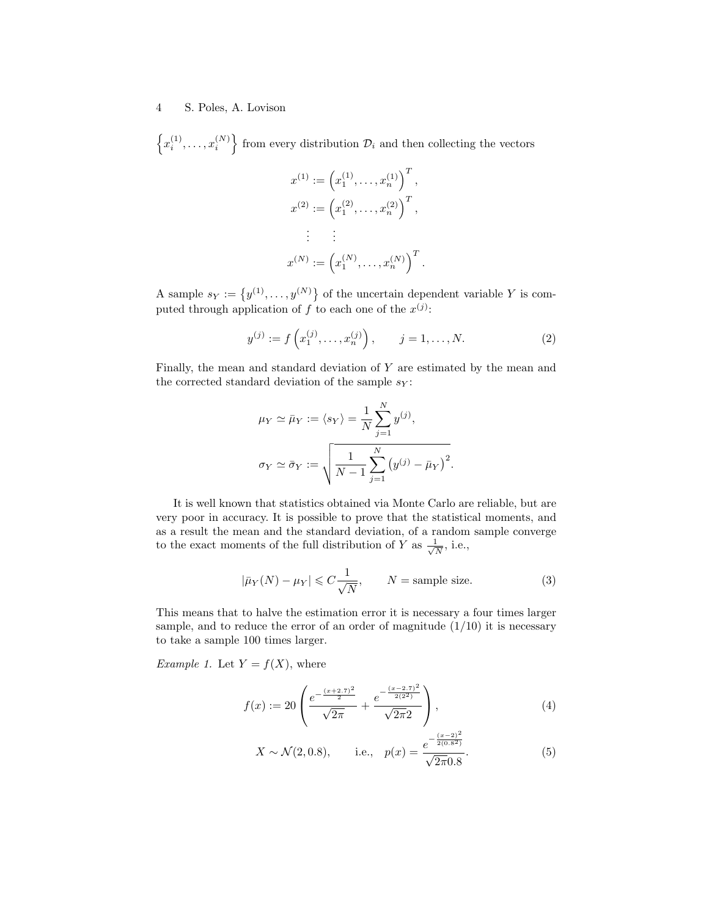$\left\{x_i^{(1)}, \ldots, x_i^{(N)}\right\}$  from every distribution  $\mathcal{D}_i$  and then collecting the vectors

$$
x^{(1)} := (x_1^{(1)}, \dots, x_n^{(1)})^T,
$$
  
\n
$$
x^{(2)} := (x_1^{(2)}, \dots, x_n^{(2)})^T,
$$
  
\n
$$
\vdots \qquad \vdots
$$
  
\n
$$
x^{(N)} := (x_1^{(N)}, \dots, x_n^{(N)})^T.
$$

A sample  $s_Y := \{y^{(1)}, \ldots, y^{(N)}\}$  of the uncertain dependent variable Y is computed through application of f to each one of the  $x^{(j)}$ :

$$
y^{(j)} := f\left(x_1^{(j)}, \dots, x_n^{(j)}\right), \qquad j = 1, \dots, N. \tag{2}
$$

Finally, the mean and standard deviation of Y are estimated by the mean and the corrected standard deviation of the sample  $s_Y$ :

$$
\mu_Y \simeq \bar{\mu}_Y := \langle s_Y \rangle = \frac{1}{N} \sum_{j=1}^N y^{(j)},
$$

$$
\sigma_Y \simeq \bar{\sigma}_Y := \sqrt{\frac{1}{N-1} \sum_{j=1}^N (y^{(j)} - \bar{\mu}_Y)^2}.
$$

It is well known that statistics obtained via Monte Carlo are reliable, but are very poor in accuracy. It is possible to prove that the statistical moments, and as a result the mean and the standard deviation, of a random sample converge to the exact moments of the full distribution of Y as  $\frac{1}{\sqrt{2}}$  $\frac{1}{N}$ , i.e.,

$$
|\bar{\mu}_Y(N) - \mu_Y| \leq C \frac{1}{\sqrt{N}}, \qquad N = \text{sample size.} \tag{3}
$$

This means that to halve the estimation error it is necessary a four times larger sample, and to reduce the error of an order of magnitude  $(1/10)$  it is necessary to take a sample 100 times larger.

*Example 1.* Let  $Y = f(X)$ , where

$$
f(x) := 20 \left( \frac{e^{-\frac{(x+2.7)^2}{2}}}{\sqrt{2\pi}} + \frac{e^{-\frac{(x-2.7)^2}{2(2^2)}}}{\sqrt{2\pi}2} \right),
$$
\n<sup>(4)</sup>

<span id="page-3-1"></span><span id="page-3-0"></span>
$$
X \sim \mathcal{N}(2, 0.8),
$$
 i.e.,  $p(x) = \frac{e^{-\frac{(x-2)^2}{2(0.8^2)}}}{\sqrt{2\pi}0.8}.$  (5)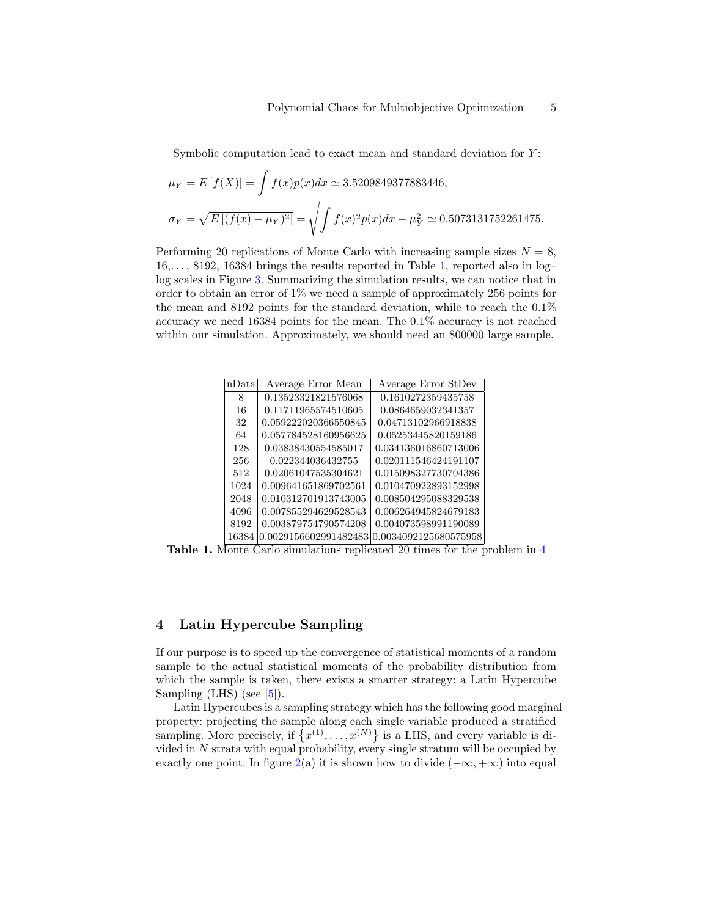Symbolic computation lead to exact mean and standard deviation for  $Y$ :

$$
\mu_Y = E[f(X)] = \int f(x)p(x)dx \approx 3.5209849377883446,
$$
  

$$
\sigma_Y = \sqrt{E[(f(x) - \mu_Y)^2]} = \sqrt{\int f(x)^2 p(x)dx - \mu_Y^2} \approx 0.5073131752261475.
$$

Performing 20 replications of Monte Carlo with increasing sample sizes  $N = 8$ ,  $16,\ldots, 8192, 16384$  brings the results reported in Table [1,](#page-3-1) reported also in log– log scales in Figure [3.](#page-13-0) Summarizing the simulation results, we can notice that in order to obtain an error of 1% we need a sample of approximately 256 points for the mean and 8192 points for the standard deviation, while to reach the 0.1% accuracy we need 16384 points for the mean. The 0.1% accuracy is not reached within our simulation. Approximately, we should need an 800000 large sample.

| nData | Average Error Mean    | Average Error StDev   |
|-------|-----------------------|-----------------------|
| 8     | 0.13523321821576068   | 0.1610272359435758    |
| 16    | 0.11711965574510605   | 0.0864659032341357    |
| 32    | 0.059222020366550845  | 0.04713102966918838   |
| 64    | 0.057784528160956625  | 0.05253445820159186   |
| 128   | 0.03838430554585017   | 0.034136016860713006  |
| 256   | 0.022344036432755     | 0.020111546424191107  |
| 512   | 0.02061047535304621   | 0.015098327730704386  |
| 1024  | 0.009641651869702561  | 0.010470922893152998  |
| 2048  | 0.010312701913743005  | 0.008504295088329538  |
| 4096  | 0.007855294629528543  | 0.006264945824679183  |
| 8192  | 0.003879754790574208  | 0.004073598991190089  |
| 16384 | 0.0029156602991482483 | 0.0034092125680575958 |

Table 1. Monte Carlo simulations replicated 20 times for the problem in [4](#page-3-0)

## 4 Latin Hypercube Sampling

If our purpose is to speed up the convergence of statistical moments of a random sample to the actual statistical moments of the probability distribution from which the sample is taken, there exists a smarter strategy: a Latin Hypercube Sampling (LHS) (see [\[5\]](#page-14-1)).

Latin Hypercubes is a sampling strategy which has the following good marginal property: projecting the sample along each single variable produced a stratified sampling. More precisely, if  $\{x^{(1)},...,x^{(N)}\}$  is a LHS, and every variable is divided in  $N$  strata with equal probability, every single stratum will be occupied by exactly one point. In figure [2\(](#page-5-0)a) it is shown how to divide  $(-\infty, +\infty)$  into equal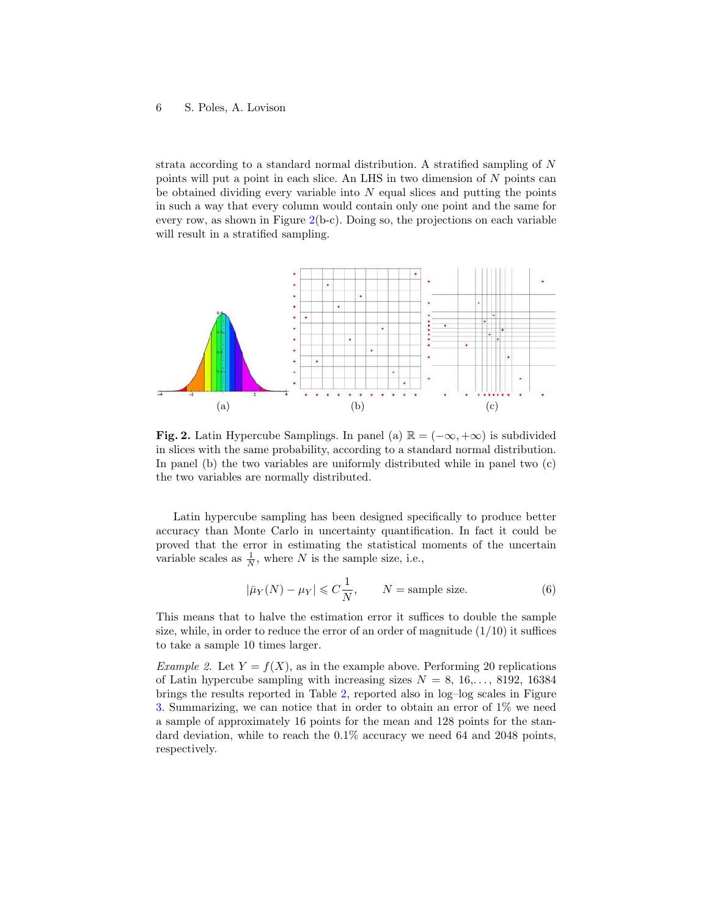strata according to a standard normal distribution. A stratified sampling of N points will put a point in each slice. An LHS in two dimension of N points can be obtained dividing every variable into  $N$  equal slices and putting the points in such a way that every column would contain only one point and the same for every row, as shown in Figure  $2(b-c)$  $2(b-c)$ . Doing so, the projections on each variable will result in a stratified sampling.



<span id="page-5-0"></span>**Fig. 2.** Latin Hypercube Samplings. In panel (a)  $\mathbb{R} = (-\infty, +\infty)$  is subdivided in slices with the same probability, according to a standard normal distribution. In panel (b) the two variables are uniformly distributed while in panel two (c) the two variables are normally distributed.

Latin hypercube sampling has been designed specifically to produce better accuracy than Monte Carlo in uncertainty quantification. In fact it could be proved that the error in estimating the statistical moments of the uncertain variable scales as  $\frac{1}{N}$ , where N is the sample size, i.e.,

<span id="page-5-1"></span>
$$
|\bar{\mu}_Y(N) - \mu_Y| \leq C\frac{1}{N}, \qquad N = \text{sample size.}
$$
 (6)

This means that to halve the estimation error it suffices to double the sample size, while, in order to reduce the error of an order of magnitude  $(1/10)$  it suffices to take a sample 10 times larger.

Example 2. Let  $Y = f(X)$ , as in the example above. Performing 20 replications of Latin hypercube sampling with increasing sizes  $N = 8, 16,..., 8192, 16384$ brings the results reported in Table [2,](#page-5-1) reported also in log–log scales in Figure [3.](#page-13-0) Summarizing, we can notice that in order to obtain an error of 1% we need a sample of approximately 16 points for the mean and 128 points for the standard deviation, while to reach the 0.1% accuracy we need 64 and 2048 points, respectively.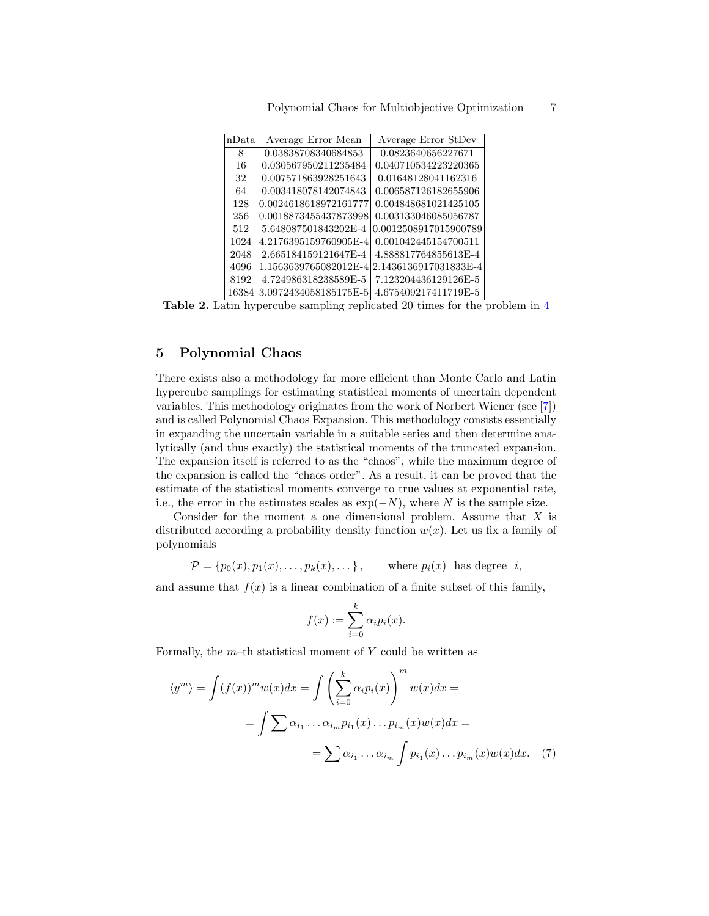|  |  |  | Polynomial Chaos for Multiobjective Optimization |  |  |
|--|--|--|--------------------------------------------------|--|--|
|--|--|--|--------------------------------------------------|--|--|

| nData | Average Error Mean    | Average Error StDev   |
|-------|-----------------------|-----------------------|
| 8     | 0.03838708340684853   | 0.0823640656227671    |
| 16    | 0.030567950211235484  | 0.040710534223220365  |
| 32    | 0.007571863928251643  | 0.01648128041162316   |
| 64    | 0.003418078142074843  | 0.006587126182655906  |
| 128   | 0.0024618618972161777 | 0.004848681021425105  |
| 256   | 0.0018873455437873998 | 0.003133046085056787  |
| 512   | 5.648087501843202E-4  | 0.0012508917015900789 |
| 1024  | 4.2176395159760905E-4 | 0.001042445154700511  |
| 2048  | 2.665184159121647E-4  | 4.888817764855613E-4  |
| 4096  | 1.1563639765082012E-4 | 2.1436136917031833E-4 |
| 8192  | 4.724986318238589E-5  | 7.123204436129126E-5  |
| 16384 | 3.0972434058185175E-5 | 4.675409217411719E-5  |

Table 2. Latin hypercube sampling replicated 20 times for the problem in [4](#page-3-0)

# 5 Polynomial Chaos

There exists also a methodology far more efficient than Monte Carlo and Latin hypercube samplings for estimating statistical moments of uncertain dependent variables. This methodology originates from the work of Norbert Wiener (see [\[7\]](#page-14-2)) and is called Polynomial Chaos Expansion. This methodology consists essentially in expanding the uncertain variable in a suitable series and then determine analytically (and thus exactly) the statistical moments of the truncated expansion. The expansion itself is referred to as the "chaos", while the maximum degree of the expansion is called the "chaos order". As a result, it can be proved that the estimate of the statistical moments converge to true values at exponential rate, i.e., the error in the estimates scales as  $\exp(-N)$ , where N is the sample size.

Consider for the moment a one dimensional problem. Assume that  $X$  is distributed according a probability density function  $w(x)$ . Let us fix a family of polynomials

$$
\mathcal{P} = \{p_0(x), p_1(x), \ldots, p_k(x), \ldots\}, \qquad \text{where } p_i(x) \text{ has degree } i,
$$

and assume that  $f(x)$  is a linear combination of a finite subset of this family,

<span id="page-6-0"></span>
$$
f(x) := \sum_{i=0}^{k} \alpha_i p_i(x).
$$

Formally, the  $m$ -th statistical moment of  $Y$  could be written as

$$
\langle y^m \rangle = \int (f(x))^m w(x) dx = \int \left( \sum_{i=0}^k \alpha_i p_i(x) \right)^m w(x) dx =
$$

$$
= \int \sum \alpha_{i_1} \dots \alpha_{i_m} p_{i_1}(x) \dots p_{i_m}(x) w(x) dx =
$$

$$
= \sum \alpha_{i_1} \dots \alpha_{i_m} \int p_{i_1}(x) \dots p_{i_m}(x) w(x) dx. \tag{7}
$$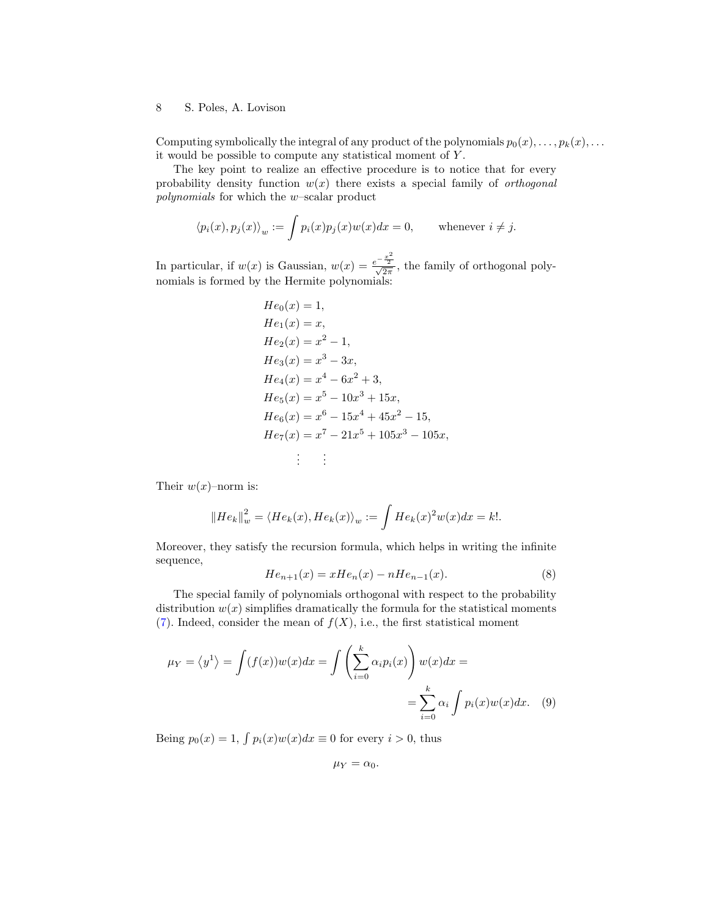Computing symbolically the integral of any product of the polynomials  $p_0(x), \ldots, p_k(x), \ldots$ it would be possible to compute any statistical moment of Y .

The key point to realize an effective procedure is to notice that for every probability density function  $w(x)$  there exists a special family of *orthogonal* polynomials for which the w–scalar product

$$
\langle p_i(x), p_j(x) \rangle_w := \int p_i(x) p_j(x) w(x) dx = 0,
$$
 whenever  $i \neq j.$ 

In particular, if  $w(x)$  is Gaussian,  $w(x) = \frac{e^{-\frac{x^2}{2}}}{\sqrt{2\pi}}$ , the family of orthogonal polynomials is formed by the Hermite polynomials:

$$
He_0(x) = 1,
$$
  
\n
$$
He_1(x) = x,
$$
  
\n
$$
He_2(x) = x^2 - 1,
$$
  
\n
$$
He_3(x) = x^3 - 3x,
$$
  
\n
$$
He_4(x) = x^4 - 6x^2 + 3,
$$
  
\n
$$
He_5(x) = x^5 - 10x^3 + 15x,
$$
  
\n
$$
He_6(x) = x^6 - 15x^4 + 45x^2 - 15,
$$
  
\n
$$
He_7(x) = x^7 - 21x^5 + 105x^3 - 105x,
$$
  
\n
$$
\vdots
$$

Their  $w(x)$ –norm is:

$$
||He_k||_w^2 = \langle He_k(x), He_k(x)\rangle_w := \int He_k(x)^2 w(x) dx = k!.
$$

Moreover, they satisfy the recursion formula, which helps in writing the infinite sequence,

$$
He_{n+1}(x) = xHe_n(x) - nHe_{n-1}(x).
$$
 (8)

The special family of polynomials orthogonal with respect to the probability distribution  $w(x)$  simplifies dramatically the formula for the statistical moments [\(7\)](#page-6-0). Indeed, consider the mean of  $f(X)$ , i.e., the first statistical moment

$$
\mu_Y = \langle y^1 \rangle = \int (f(x))w(x)dx = \int \left(\sum_{i=0}^k \alpha_i p_i(x)\right)w(x)dx =
$$

$$
= \sum_{i=0}^k \alpha_i \int p_i(x)w(x)dx. \quad (9)
$$

Being  $p_0(x) = 1$ ,  $\int p_i(x)w(x)dx \equiv 0$  for every  $i > 0$ , thus

$$
\mu_Y=\alpha_0.
$$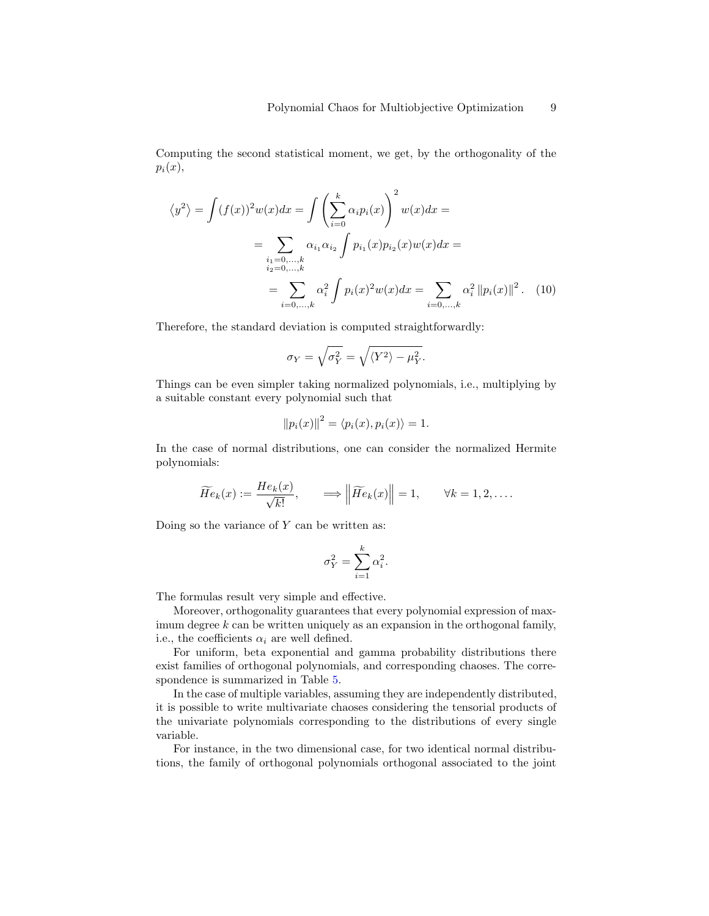Computing the second statistical moment, we get, by the orthogonality of the  $p_i(x)$ ,

$$
\langle y^2 \rangle = \int (f(x))^2 w(x) dx = \int \left( \sum_{i=0}^k \alpha_i p_i(x) \right)^2 w(x) dx =
$$
  
= 
$$
\sum_{\substack{i_1 = 0, ..., k \\ i_2 = 0, ..., k}} \alpha_{i_1} \alpha_{i_2} \int p_{i_1}(x) p_{i_2}(x) w(x) dx =
$$
  
= 
$$
\sum_{i=0, ..., k} \alpha_i^2 \int p_i(x)^2 w(x) dx = \sum_{i=0, ..., k} \alpha_i^2 ||p_i(x)||^2.
$$
 (10)

Therefore, the standard deviation is computed straightforwardly:

<span id="page-8-0"></span>
$$
\sigma_Y = \sqrt{\sigma_Y^2} = \sqrt{\langle Y^2 \rangle - \mu_Y^2}.
$$

Things can be even simpler taking normalized polynomials, i.e., multiplying by a suitable constant every polynomial such that

$$
||p_i(x)||^2 = \langle p_i(x), p_i(x) \rangle = 1.
$$

In the case of normal distributions, one can consider the normalized Hermite polynomials:

$$
\widetilde{He}_k(x) := \frac{He_k(x)}{\sqrt{k!}}, \qquad \Longrightarrow \left\| \widetilde{He}_k(x) \right\| = 1, \qquad \forall k = 1, 2, \dots.
$$

Doing so the variance of  $Y$  can be written as:

$$
\sigma_Y^2 = \sum_{i=1}^k \alpha_i^2.
$$

The formulas result very simple and effective.

Moreover, orthogonality guarantees that every polynomial expression of maximum degree  $k$  can be written uniquely as an expansion in the orthogonal family, i.e., the coefficients  $\alpha_i$  are well defined.

For uniform, beta exponential and gamma probability distributions there exist families of orthogonal polynomials, and corresponding chaoses. The correspondence is summarized in Table [5.](#page-8-0)

In the case of multiple variables, assuming they are independently distributed, it is possible to write multivariate chaoses considering the tensorial products of the univariate polynomials corresponding to the distributions of every single variable.

For instance, in the two dimensional case, for two identical normal distributions, the family of orthogonal polynomials orthogonal associated to the joint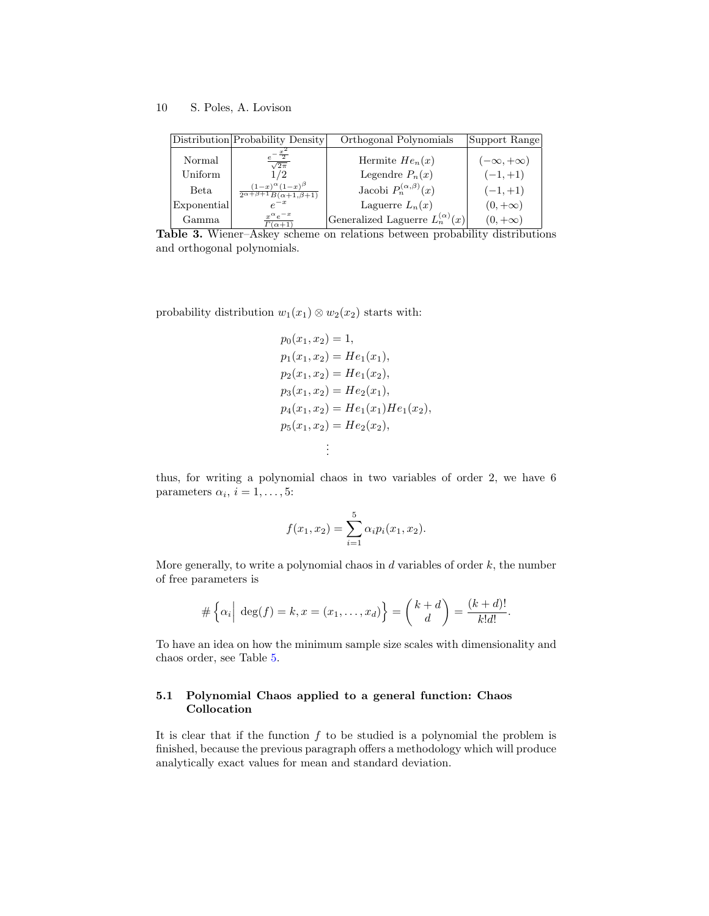|             | Distribution Probability Density                                                | Orthogonal Polynomials                   | Support Range        |
|-------------|---------------------------------------------------------------------------------|------------------------------------------|----------------------|
| Normal      | $\sqrt{2\pi}$                                                                   | Hermite $He_n(x)$                        | $(-\infty, +\infty)$ |
| Uniform     | 1 / 2                                                                           | Legendre $P_n(x)$                        | $(-1,+1)$            |
| Beta        | $(1-x)^{\alpha}(1-x)^{\beta}$<br>$\frac{1}{2\alpha+\beta+1}B(\alpha+1,\beta+1)$ | Jacobi $P_n^{(\alpha,\beta)}(x)$         | $(-1,+1)$            |
| Exponential |                                                                                 | Laguerre $L_n(x)$                        | $(0, +\infty)$       |
| Gamma       | $x^{\alpha}e^{-x}$<br>$\Gamma(\alpha+1)$                                        | Generalized Laguerre $L_n^{(\alpha)}(x)$ | $(0, +\infty)$       |

<span id="page-9-0"></span>Table 3. Wiener–Askey scheme on relations between probability distributions and orthogonal polynomials.

probability distribution  $w_1(x_1) \otimes w_2(x_2)$  starts with:

$$
p_0(x_1, x_2) = 1,
$$
  
\n
$$
p_1(x_1, x_2) = He_1(x_1),
$$
  
\n
$$
p_2(x_1, x_2) = He_1(x_2),
$$
  
\n
$$
p_3(x_1, x_2) = He_2(x_1),
$$
  
\n
$$
p_4(x_1, x_2) = He_1(x_1)He_1(x_2),
$$
  
\n
$$
p_5(x_1, x_2) = He_2(x_2),
$$
  
\n
$$
\vdots
$$

thus, for writing a polynomial chaos in two variables of order 2, we have 6 parameters  $\alpha_i$ ,  $i = 1, \ldots, 5$ :

$$
f(x_1, x_2) = \sum_{i=1}^{5} \alpha_i p_i(x_1, x_2).
$$

More generally, to write a polynomial chaos in  $d$  variables of order  $k$ , the number of free parameters is

$$
\#\left\{\alpha_i\Big|\ \deg(f)=k, x=(x_1,\ldots,x_d)\right\}=\binom{k+d}{d}=\frac{(k+d)!}{k!d!}.
$$

To have an idea on how the minimum sample size scales with dimensionality and chaos order, see Table [5.](#page-9-0)

## 5.1 Polynomial Chaos applied to a general function: Chaos Collocation

It is clear that if the function  $f$  to be studied is a polynomial the problem is finished, because the previous paragraph offers a methodology which will produce analytically exact values for mean and standard deviation.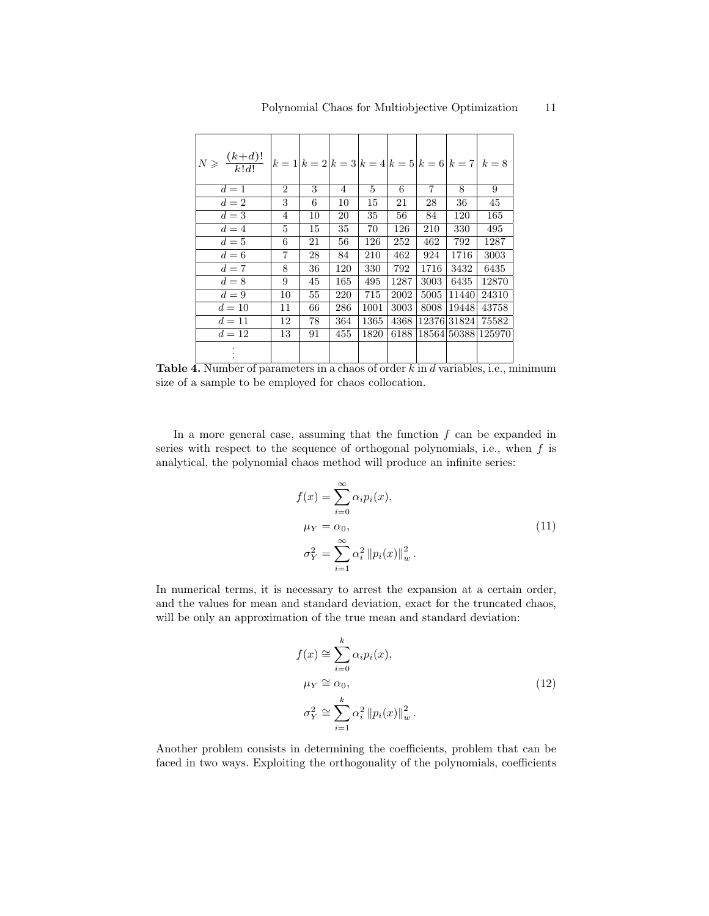| $N \geqslant \frac{(k+d)!}{k!d!}$ $\bigg  k = 1 \bigg  k = 2 \bigg  k = 3 \bigg  k = 4 \bigg  k = 5 \bigg  k = 6 \bigg  k = 7 \bigg  k = 8$ |                |    |     |      |      |      |             |                    |
|---------------------------------------------------------------------------------------------------------------------------------------------|----------------|----|-----|------|------|------|-------------|--------------------|
| $d=1$                                                                                                                                       | $\overline{2}$ | 3  | 4   | 5    | 6    | 7    | 8           | 9                  |
| $d=2$                                                                                                                                       | 3              | 6  | 10  | 15   | 21   | 28   | 36          | 45                 |
| $d=3$                                                                                                                                       | 4              | 10 | 20  | 35   | 56   | 84   | 120         | 165                |
| $d=4$                                                                                                                                       | 5              | 15 | 35  | 70   | 126  | 210  | 330         | 495                |
| $d=5$                                                                                                                                       | 6              | 21 | 56  | 126  | 252  | 462  | 792         | 1287               |
| $d=6$                                                                                                                                       | 7              | 28 | 84  | 210  | 462  | 924  | 1716        | 3003               |
| $d=7$                                                                                                                                       | 8              | 36 | 120 | 330  | 792  | 1716 | 3432        | 6435               |
| $d=8$                                                                                                                                       | 9              | 45 | 165 | 495  | 1287 | 3003 | 6435        | 12870              |
| $d=9$                                                                                                                                       | 10             | 55 | 220 | 715  | 2002 | 5005 | 114401      | 24310              |
| $d=10$                                                                                                                                      | 11             | 66 | 286 | 1001 | 3003 | 8008 | 19448       | 43758              |
| $d=11$                                                                                                                                      | 12             | 78 | 364 | 1365 | 4368 |      | 12376 31824 | 75582              |
| $d = 12$                                                                                                                                    | 13             | 91 | 455 | 1820 | 6188 |      |             | 18564 50388 125970 |
|                                                                                                                                             |                |    |     |      |      |      |             |                    |

**Table 4.** Number of parameters in a chaos of order  $k$  in  $d$  variables, i.e., minimum size of a sample to be employed for chaos collocation.

In a more general case, assuming that the function  $f$  can be expanded in series with respect to the sequence of orthogonal polynomials, i.e., when  $f$  is analytical, the polynomial chaos method will produce an infinite series:

$$
f(x) = \sum_{i=0}^{\infty} \alpha_i p_i(x),
$$
  
\n
$$
\mu_Y = \alpha_0,
$$
  
\n
$$
\sigma_Y^2 = \sum_{i=1}^{\infty} \alpha_i^2 \|p_i(x)\|_w^2.
$$
\n(11)

In numerical terms, it is necessary to arrest the expansion at a certain order, and the values for mean and standard deviation, exact for the truncated chaos, will be only an approximation of the true mean and standard deviation:

$$
f(x) \approx \sum_{i=0}^{k} \alpha_i p_i(x),
$$
  
\n
$$
\mu_Y \approx \alpha_0,
$$
  
\n
$$
\sigma_Y^2 \approx \sum_{i=1}^{k} \alpha_i^2 \|p_i(x)\|_w^2.
$$
\n(12)

Another problem consists in determining the coefficients, problem that can be faced in two ways. Exploiting the orthogonality of the polynomials, coefficients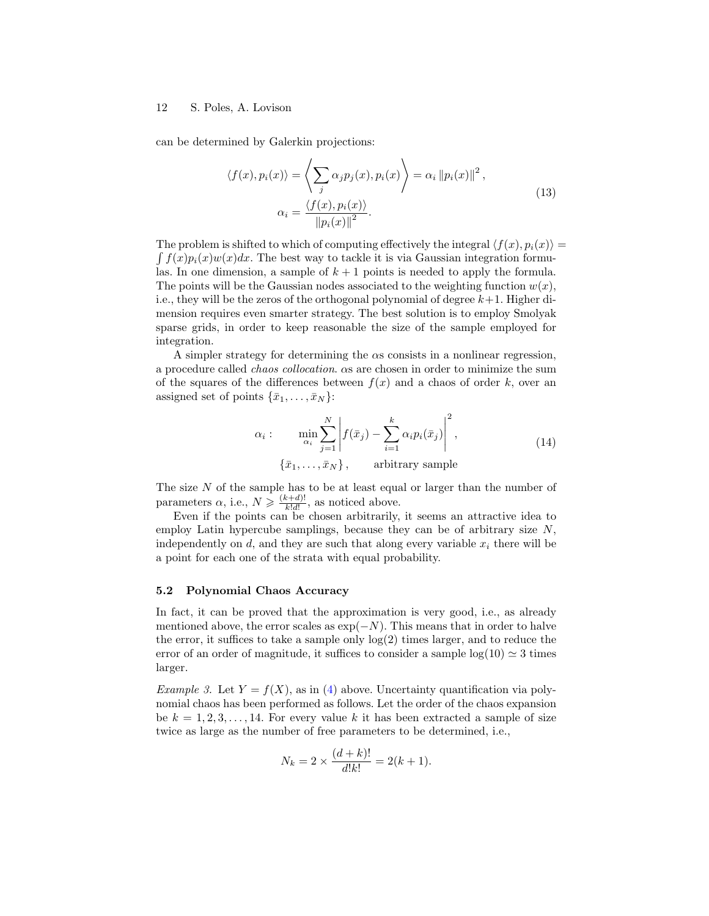can be determined by Galerkin projections:

$$
\langle f(x), p_i(x) \rangle = \left\langle \sum_j \alpha_j p_j(x), p_i(x) \right\rangle = \alpha_i \|p_i(x)\|^2,
$$
  

$$
\alpha_i = \frac{\langle f(x), p_i(x) \rangle}{\|p_i(x)\|^2}.
$$
 (13)

The problem is shifted to which of computing effectively the integral  $\langle f(x), p_i(x)\rangle =$  $\int f(x)p_i(x)w(x)dx$ . The best way to tackle it is via Gaussian integration formulas. In one dimension, a sample of  $k + 1$  points is needed to apply the formula. The points will be the Gaussian nodes associated to the weighting function  $w(x)$ , i.e., they will be the zeros of the orthogonal polynomial of degree  $k+1$ . Higher dimension requires even smarter strategy. The best solution is to employ Smolyak sparse grids, in order to keep reasonable the size of the sample employed for integration.

A simpler strategy for determining the  $\alpha$ s consists in a nonlinear regression, a procedure called chaos collocation. αs are chosen in order to minimize the sum of the squares of the differences between  $f(x)$  and a chaos of order k, over an assigned set of points  $\{\bar{x}_1, \ldots, \bar{x}_N\}$ :

$$
\alpha_i: \min_{\alpha_i} \sum_{j=1}^N \left| f(\bar{x}_j) - \sum_{i=1}^k \alpha_i p_i(\bar{x}_j) \right|^2,
$$
\n
$$
\{\bar{x}_1, \dots, \bar{x}_N\}, \text{arbitrary sample}
$$
\n(14)

The size  $N$  of the sample has to be at least equal or larger than the number of parameters  $\alpha$ , i.e.,  $N \geqslant \frac{(k+d)!}{k!d!}$  $\frac{(k+d)!}{k!d!}$ , as noticed above.

Even if the points can be chosen arbitrarily, it seems an attractive idea to employ Latin hypercube samplings, because they can be of arbitrary size  $N$ , independently on d, and they are such that along every variable  $x_i$  there will be a point for each one of the strata with equal probability.

#### 5.2 Polynomial Chaos Accuracy

In fact, it can be proved that the approximation is very good, i.e., as already mentioned above, the error scales as  $\exp(-N)$ . This means that in order to halve the error, it suffices to take a sample only log(2) times larger, and to reduce the error of an order of magnitude, it suffices to consider a sample  $log(10) \approx 3$  times larger.

<span id="page-11-0"></span>Example 3. Let  $Y = f(X)$ , as in [\(4\)](#page-3-0) above. Uncertainty quantification via polynomial chaos has been performed as follows. Let the order of the chaos expansion be  $k = 1, 2, 3, \ldots, 14$ . For every value k it has been extracted a sample of size twice as large as the number of free parameters to be determined, i.e.,

$$
N_k = 2 \times \frac{(d+k)!}{d!k!} = 2(k+1).
$$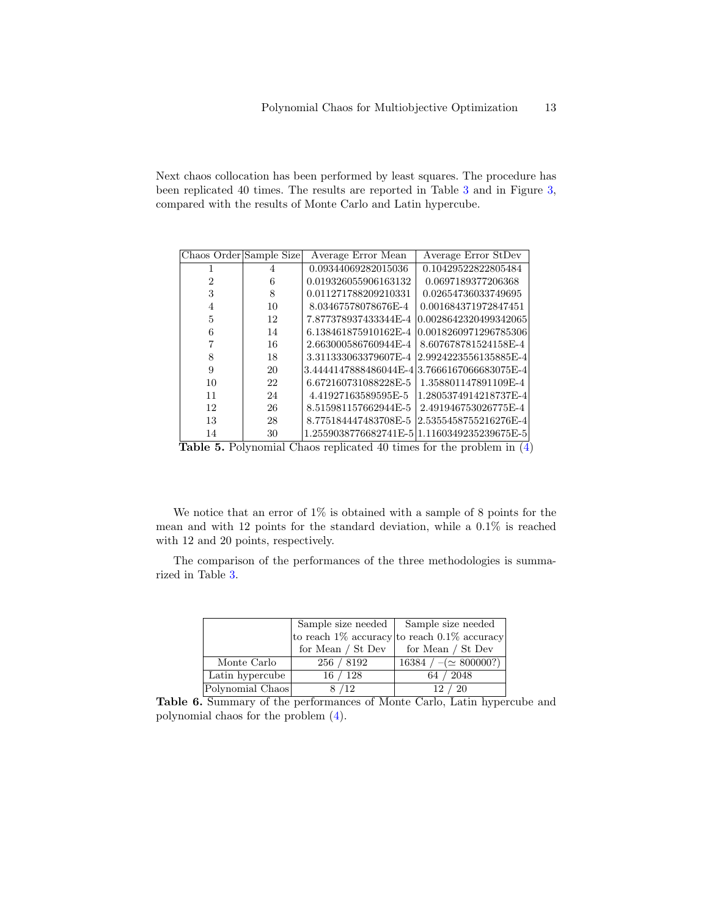Next chaos collocation has been performed by least squares. The procedure has been replicated 40 times. The results are reported in Table [3](#page-11-0) and in Figure [3,](#page-13-0) compared with the results of Monte Carlo and Latin hypercube.

| Chaos Order Sample Size |    | Average Error Mean    | Average Error StDev                         |
|-------------------------|----|-----------------------|---------------------------------------------|
|                         | 4  | 0.09344069282015036   | 0.10429522822805484                         |
| 2                       | 6  | 0.019326055906163132  | 0.0697189377206368                          |
| 3                       | 8  | 0.011271788209210331  | 0.02654736033749695                         |
| 4                       | 10 | 8.03467578078676E-4   | 0.001684371972847451                        |
| 5                       | 12 | 7.877378937433344E-4  | 0.0028642320499342065                       |
| 6                       | 14 | 6.138461875910162E-4  | 0.0018260971296785306                       |
|                         | 16 | 2.663000586760944E-4  | 8.607678781524158E-4                        |
| 8                       | 18 | 3.311333063379607E-4  | 2.9924223556135885E-4                       |
| 9                       | 20 | 3.4444147888486044E-4 | 3.7666167066683075E-4                       |
| 10                      | 22 | 6.672160731088228E-5  | 1.358801147891109E-4                        |
| 11                      | 24 | 4.41927163589595E-5   | 1.2805374914218737E-4                       |
| 12                      | 26 | 8.515981157662944E-5  | 2.491946753026775E-4                        |
| 13                      | 28 | 8.775184447483708E-5  | 2.5355458755216276E-4                       |
| 14                      | 30 |                       | 1.2559038776682741E-5 1.1160349235239675E-5 |
|                         |    |                       |                                             |

Table 5. Polynomial Chaos replicated 40 times for the problem in [\(4\)](#page-3-0)

We notice that an error of  $1\%$  is obtained with a sample of 8 points for the mean and with 12 points for the standard deviation, while a 0.1% is reached with 12 and 20 points, respectively.

The comparison of the performances of the three methodologies is summarized in Table [3.](#page-13-0)

|                  |                     | Sample size needed   Sample size needed           |
|------------------|---------------------|---------------------------------------------------|
|                  |                     | to reach $1\%$ accuracy to reach $0.1\%$ accuracy |
|                  | for Mean $/$ St Dev | for Mean / St Dev                                 |
| Monte Carlo      | 256 / 8192          | $16384 / - (\simeq 800000?)$                      |
| Latin hypercube  | 16/128              | 64 / 2048                                         |
| Polynomial Chaos | 8 / 12              | -20<br>12/                                        |

Table 6. Summary of the performances of Monte Carlo, Latin hypercube and polynomial chaos for the problem [\(4\)](#page-3-0).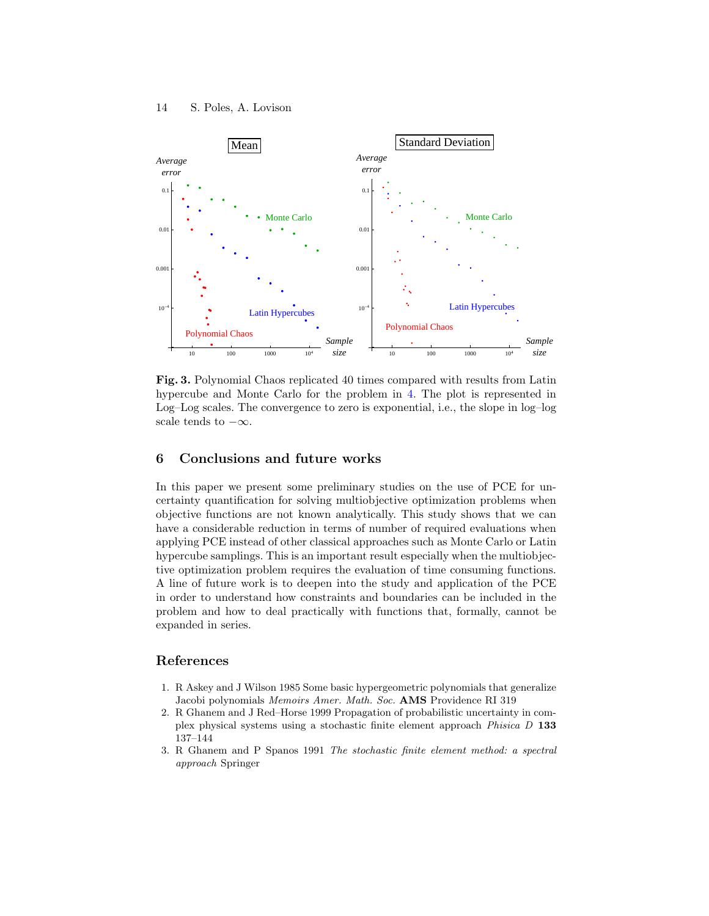

<span id="page-13-0"></span>Fig. 3. Polynomial Chaos replicated 40 times compared with results from Latin hypercube and Monte Carlo for the problem in [4.](#page-3-0) The plot is represented in Log–Log scales. The convergence to zero is exponential, i.e., the slope in log–log scale tends to  $-\infty$ .

# 6 Conclusions and future works

In this paper we present some preliminary studies on the use of PCE for uncertainty quantification for solving multiobjective optimization problems when objective functions are not known analytically. This study shows that we can have a considerable reduction in terms of number of required evaluations when applying PCE instead of other classical approaches such as Monte Carlo or Latin hypercube samplings. This is an important result especially when the multiobjective optimization problem requires the evaluation of time consuming functions. A line of future work is to deepen into the study and application of the PCE in order to understand how constraints and boundaries can be included in the problem and how to deal practically with functions that, formally, cannot be expanded in series.

# References

- 1. R Askey and J Wilson 1985 Some basic hypergeometric polynomials that generalize Jacobi polynomials Memoirs Amer. Math. Soc. AMS Providence RI 319
- 2. R Ghanem and J Red–Horse 1999 Propagation of probabilistic uncertainty in complex physical systems using a stochastic finite element approach Phisica D 133 137–144
- 3. R Ghanem and P Spanos 1991 The stochastic finite element method: a spectral approach Springer